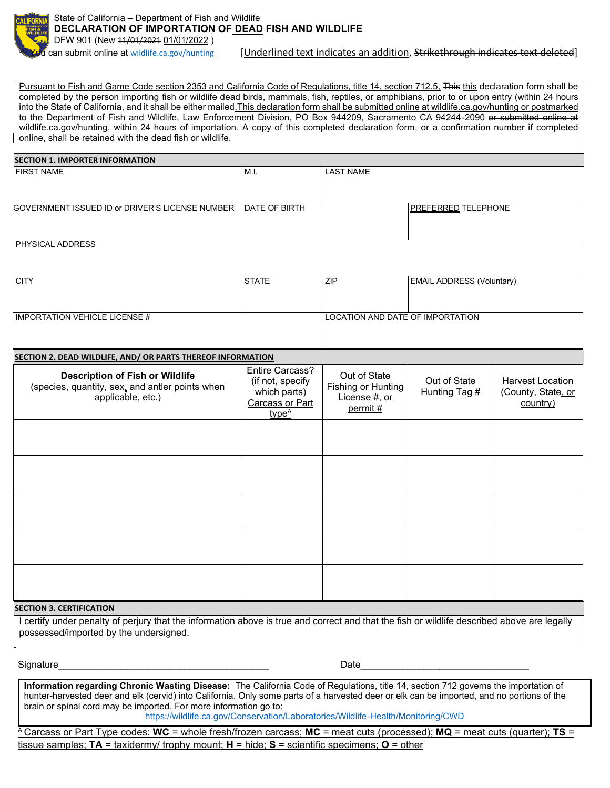

can submit online at [wildlife.ca.gov/hunting](mailto:LED@wildlife.ca.gov/) [Underlined text indicates an addition, Strikethrough indicates text deleted]

Pursuant to Fish and Game Code section 2353 and California Code of Regulations, title 14, section 712.5, This this declaration form shall be completed by the person importing fish or wildlife dead birds, mammals, fish, reptiles, or amphibians, prior to or upon entry (within 24 hours into the State of California, and it shall be either mailed. This declaration form shall be submitted online at wildlife.ca.gov/hunting or postmarked to the Department of Fish and Wildlife, Law Enforcement Division, PO Box 944209, Sacramento CA 94244-2090 or submitted online at wildlife.ca.gov/hunting, within 24 hours of importation. A copy of this completed declaration form, or a confirmation number if completed online, shall be retained with the dead fish or wildlife.

| <b>SECTION 1. IMPORTER INFORMATION</b>          |                       |                  |                            |  |  |
|-------------------------------------------------|-----------------------|------------------|----------------------------|--|--|
| <b>FIRST NAME</b>                               | M.I.                  | <b>LAST NAME</b> |                            |  |  |
| GOVERNMENT ISSUED ID or DRIVER'S LICENSE NUMBER | <b>IDATE OF BIRTH</b> |                  | <b>PREFERRED TELEPHONE</b> |  |  |
| $DIN(0 0,1)$ $ADDDD(0,0)$                       |                       |                  |                            |  |  |

## PHYSICAL ADDRESS

| <b>CITY</b>                          | <b>STATE</b> | <b>ZIP</b> | <b>EMAIL ADDRESS (Voluntary)</b> |  |
|--------------------------------------|--------------|------------|----------------------------------|--|
|                                      |              |            |                                  |  |
|                                      |              |            |                                  |  |
| <b>IMPORTATION VEHICLE LICENSE #</b> |              |            | LOCATION AND DATE OF IMPORTATION |  |
|                                      |              |            |                                  |  |

## **SECTION 2. DEAD WILDLIFE, AND/ OR PARTS THEREOF INFORMATION Description of Fish or Wildlife** (species, quantity, sex, and antler points when applicable, etc.) Entire Carcass? (if not, specify which parts) Carcass or Part type<sup>A</sup> Out of State Fishing or Hunting License #, or permit # Out of State Hunting Tag # Harvest Location (County, State, or country)

## **SECTION 3. CERTIFICATION**

I certify under penalty of perjury that the information above is true and correct and that the fish or wildlife described above are legally possessed/imported by the undersigned.

 $\textsf{Sigma}$   $\textsf{Date}$ 

**Information regarding Chronic Wasting Disease:** The California Code of Regulations, title 14, section 712 governs the importation of hunter-harvested deer and elk (cervid) into California. Only some parts of a harvested deer or elk can be imported, and no portions of the brain or spinal cord may be imported. For more information go to: <https://wildlife.ca.gov/Conservation/Laboratories/Wildlife-Health/Monitoring/CWD>

<sup>A</sup>Carcass or Part Type codes: **WC** = whole fresh/frozen carcass; **MC** = meat cuts (processed); **MQ** = meat cuts (quarter); **TS** = tissue samples; **TA** = taxidermy/ trophy mount; **H** = hide; **S** = scientific specimens; **O** = other